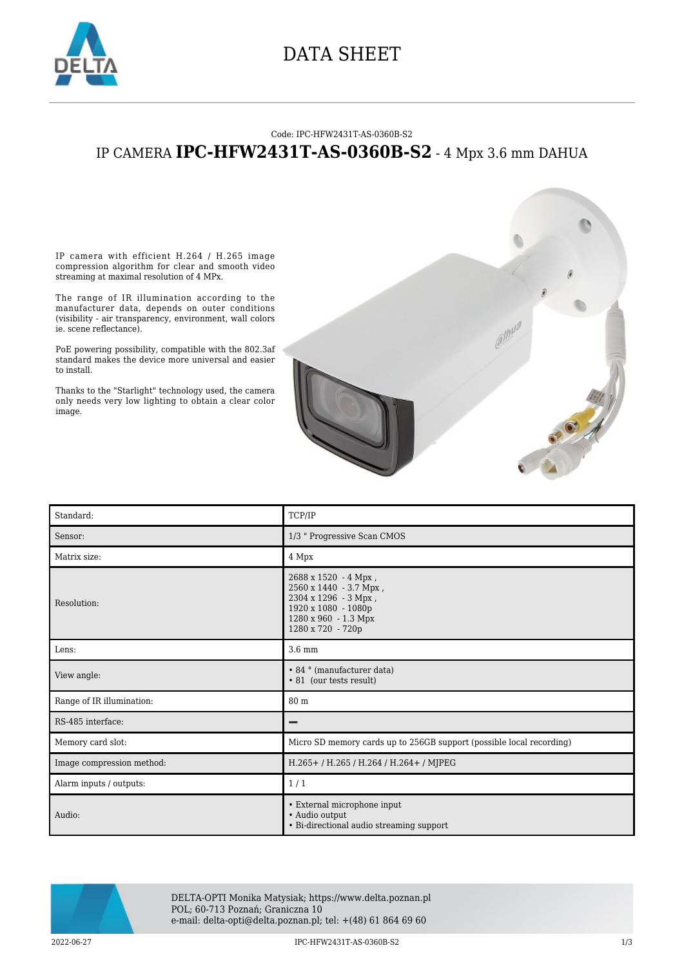

### DATA SHEET

#### Code: IPC-HFW2431T-AS-0360B-S2

### IP CAMERA **IPC-HFW2431T-AS-0360B-S2** - 4 Mpx 3.6 mm DAHUA

IP camera with efficient H.264 / H.265 image compression algorithm for clear and smooth video streaming at maximal resolution of 4 MPx.

The range of IR illumination according to the manufacturer data, depends on outer conditions (visibility - air transparency, environment, wall colors ie. scene reflectance).

PoE powering possibility, compatible with the 802.3af standard makes the device more universal and easier to install.

Thanks to the "Starlight" technology used, the camera only needs very low lighting to obtain a clear color image.



| Standard:                 | TCP/IP                                                                                                                                     |
|---------------------------|--------------------------------------------------------------------------------------------------------------------------------------------|
| Sensor:                   | 1/3 " Progressive Scan CMOS                                                                                                                |
| Matrix size:              | 4 Mpx                                                                                                                                      |
| Resolution:               | 2688 x 1520 - 4 Mpx,<br>2560 x 1440 - 3.7 Mpx,<br>2304 x 1296 - 3 Mpx,<br>1920 x 1080 - 1080p<br>1280 x 960 - 1.3 Mpx<br>1280 x 720 - 720p |
| Lens:                     | 3.6 mm                                                                                                                                     |
| View angle:               | • 84 ° (manufacturer data)<br>• 81 (our tests result)                                                                                      |
| Range of IR illumination: | 80 m                                                                                                                                       |
| RS-485 interface:         |                                                                                                                                            |
| Memory card slot:         | Micro SD memory cards up to 256GB support (possible local recording)                                                                       |
| Image compression method: | H.265+/H.265/H.264/H.264+/MJPEG                                                                                                            |
| Alarm inputs / outputs:   | 1/1                                                                                                                                        |
| Audio:                    | • External microphone input<br>• Audio output<br>• Bi-directional audio streaming support                                                  |



DELTA-OPTI Monika Matysiak; https://www.delta.poznan.pl POL; 60-713 Poznań; Graniczna 10 e-mail: delta-opti@delta.poznan.pl; tel: +(48) 61 864 69 60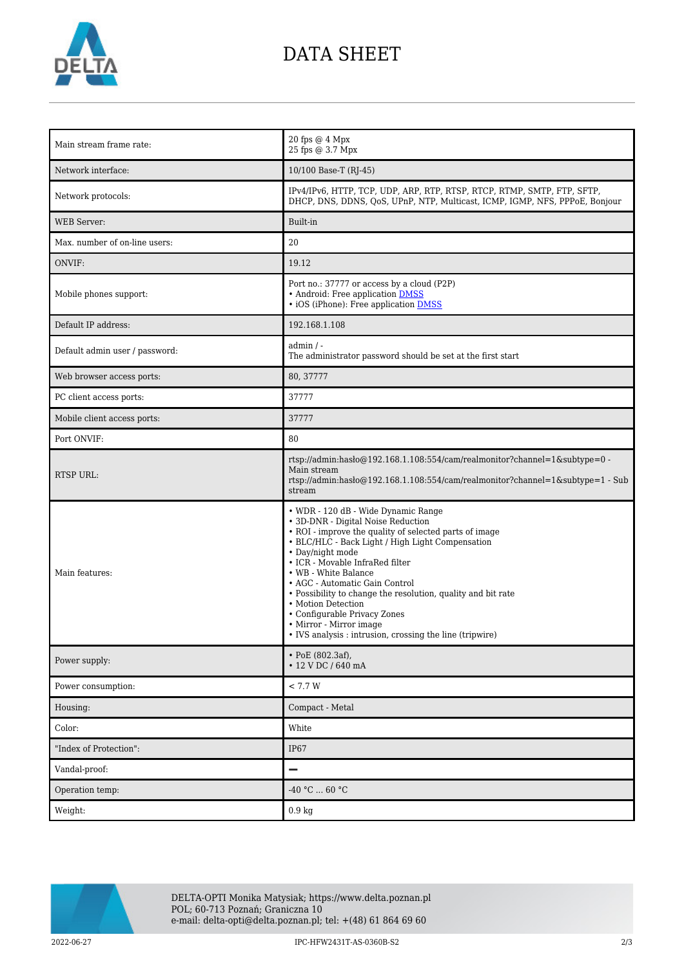

# DATA SHEET

| Main stream frame rate:        | 20 fps @ 4 Mpx<br>25 fps @ 3.7 Mpx                                                                                                                                                                                                                                                                                                                                                                                                                                                                                    |
|--------------------------------|-----------------------------------------------------------------------------------------------------------------------------------------------------------------------------------------------------------------------------------------------------------------------------------------------------------------------------------------------------------------------------------------------------------------------------------------------------------------------------------------------------------------------|
| Network interface:             | 10/100 Base-T (RJ-45)                                                                                                                                                                                                                                                                                                                                                                                                                                                                                                 |
| Network protocols:             | IPv4/IPv6, HTTP, TCP, UDP, ARP, RTP, RTSP, RTCP, RTMP, SMTP, FTP, SFTP,<br>DHCP, DNS, DDNS, OoS, UPnP, NTP, Multicast, ICMP, IGMP, NFS, PPPoE, Bonjour                                                                                                                                                                                                                                                                                                                                                                |
| <b>WEB</b> Server:             | Built-in                                                                                                                                                                                                                                                                                                                                                                                                                                                                                                              |
| Max. number of on-line users:  | 20                                                                                                                                                                                                                                                                                                                                                                                                                                                                                                                    |
| ONVIF:                         | 19.12                                                                                                                                                                                                                                                                                                                                                                                                                                                                                                                 |
| Mobile phones support:         | Port no.: 37777 or access by a cloud (P2P)<br>• Android: Free application DMSS<br>• iOS (iPhone): Free application <b>DMSS</b>                                                                                                                                                                                                                                                                                                                                                                                        |
| Default IP address:            | 192.168.1.108                                                                                                                                                                                                                                                                                                                                                                                                                                                                                                         |
| Default admin user / password: | $admin / -$<br>The administrator password should be set at the first start                                                                                                                                                                                                                                                                                                                                                                                                                                            |
| Web browser access ports:      | 80, 37777                                                                                                                                                                                                                                                                                                                                                                                                                                                                                                             |
| PC client access ports:        | 37777                                                                                                                                                                                                                                                                                                                                                                                                                                                                                                                 |
| Mobile client access ports:    | 37777                                                                                                                                                                                                                                                                                                                                                                                                                                                                                                                 |
| Port ONVIF:                    | 80                                                                                                                                                                                                                                                                                                                                                                                                                                                                                                                    |
| <b>RTSP URL:</b>               | rtsp://admin:hasło@192.168.1.108:554/cam/realmonitor?channel=1&subtype=0 -<br>Main stream<br>rtsp://admin:haslo@192.168.1.108:554/cam/realmonitor?channel=1&subtype=1 - Sub<br>stream                                                                                                                                                                                                                                                                                                                                 |
| Main features:                 | • WDR - 120 dB - Wide Dynamic Range<br>• 3D-DNR - Digital Noise Reduction<br>• ROI - improve the quality of selected parts of image<br>• BLC/HLC - Back Light / High Light Compensation<br>• Day/night mode<br>• ICR - Movable InfraRed filter<br>• WB - White Balance<br>• AGC - Automatic Gain Control<br>• Possibility to change the resolution, quality and bit rate<br>• Motion Detection<br>• Configurable Privacy Zones<br>• Mirror - Mirror image<br>• IVS analysis : intrusion, crossing the line (tripwire) |
| Power supply:                  | • PoE (802.3af),<br>• 12 V DC / 640 mA                                                                                                                                                                                                                                                                                                                                                                                                                                                                                |
| Power consumption:             | $< 7.7 W$                                                                                                                                                                                                                                                                                                                                                                                                                                                                                                             |
| Housing:                       | Compact - Metal                                                                                                                                                                                                                                                                                                                                                                                                                                                                                                       |
| Color:                         | White                                                                                                                                                                                                                                                                                                                                                                                                                                                                                                                 |
| "Index of Protection":         | IP67                                                                                                                                                                                                                                                                                                                                                                                                                                                                                                                  |
| Vandal-proof:                  | —                                                                                                                                                                                                                                                                                                                                                                                                                                                                                                                     |
| Operation temp:                | -40 °C $\ldots$ 60 °C                                                                                                                                                                                                                                                                                                                                                                                                                                                                                                 |
| Weight:                        | 0.9 <sub>kg</sub>                                                                                                                                                                                                                                                                                                                                                                                                                                                                                                     |